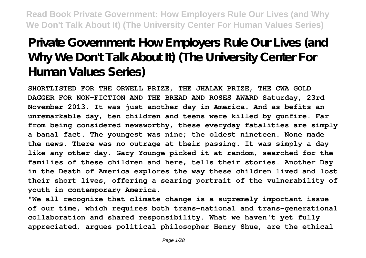# **Private Government: How Employers Rule Our Lives (and Why We Don't Talk About It) (The University Center For Human Values Series)**

**SHORTLISTED FOR THE ORWELL PRIZE, THE JHALAK PRIZE, THE CWA GOLD DAGGER FOR NON-FICTION AND THE BREAD AND ROSES AWARD Saturday, 23rd November 2013. It was just another day in America. And as befits an unremarkable day, ten children and teens were killed by gunfire. Far from being considered newsworthy, these everyday fatalities are simply a banal fact. The youngest was nine; the oldest nineteen. None made the news. There was no outrage at their passing. It was simply a day like any other day. Gary Younge picked it at random, searched for the families of these children and here, tells their stories. Another Day in the Death of America explores the way these children lived and lost their short lives, offering a searing portrait of the vulnerability of youth in contemporary America.**

**"We all recognize that climate change is a supremely important issue of our time, which requires both trans-national and trans-generational collaboration and shared responsibility. What we haven't yet fully appreciated, argues political philosopher Henry Shue, are the ethical**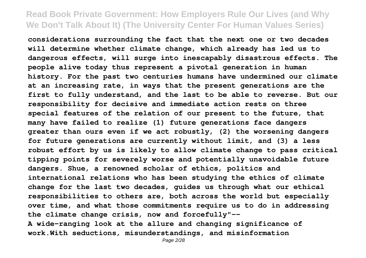**considerations surrounding the fact that the next one or two decades will determine whether climate change, which already has led us to dangerous effects, will surge into inescapably disastrous effects. The people alive today thus represent a pivotal generation in human history. For the past two centuries humans have undermined our climate at an increasing rate, in ways that the present generations are the first to fully understand, and the last to be able to reverse. But our responsibility for decisive and immediate action rests on three special features of the relation of our present to the future, that many have failed to realize (1) future generations face dangers greater than ours even if we act robustly, (2) the worsening dangers for future generations are currently without limit, and (3) a less robust effort by us is likely to allow climate change to pass critical tipping points for severely worse and potentially unavoidable future dangers. Shue, a renowned scholar of ethics, politics and international relations who has been studying the ethics of climate change for the last two decades, guides us through what our ethical responsibilities to others are, both across the world but especially over time, and what those commitments require us to do in addressing the climate change crisis, now and forcefully"-- A wide-ranging look at the allure and changing significance of**

**work.With seductions, misunderstandings, and misinformation**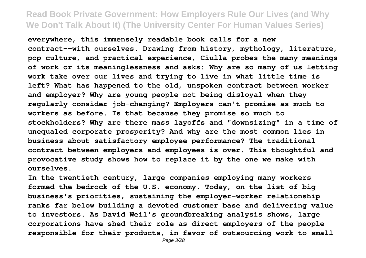**everywhere, this immensely readable book calls for a new contract--with ourselves. Drawing from history, mythology, literature, pop culture, and practical experience, Ciulla probes the many meanings of work or its meaninglessness and asks: Why are so many of us letting work take over our lives and trying to live in what little time is left? What has happened to the old, unspoken contract between worker and employer? Why are young people not being disloyal when they regularly consider job-changing? Employers can't promise as much to workers as before. Is that because they promise so much to stockholders? Why are there mass layoffs and "downsizing" in a time of unequaled corporate prosperity? And why are the most common lies in business about satisfactory employee performance? The traditional contract between employers and employees is over. This thoughtful and provocative study shows how to replace it by the one we make with ourselves.**

**In the twentieth century, large companies employing many workers formed the bedrock of the U.S. economy. Today, on the list of big business's priorities, sustaining the employer-worker relationship ranks far below building a devoted customer base and delivering value to investors. As David Weil's groundbreaking analysis shows, large corporations have shed their role as direct employers of the people responsible for their products, in favor of outsourcing work to small**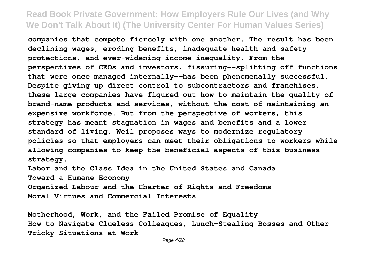**companies that compete fiercely with one another. The result has been declining wages, eroding benefits, inadequate health and safety protections, and ever-widening income inequality. From the perspectives of CEOs and investors, fissuring--splitting off functions that were once managed internally--has been phenomenally successful. Despite giving up direct control to subcontractors and franchises, these large companies have figured out how to maintain the quality of brand-name products and services, without the cost of maintaining an expensive workforce. But from the perspective of workers, this strategy has meant stagnation in wages and benefits and a lower standard of living. Weil proposes ways to modernize regulatory policies so that employers can meet their obligations to workers while allowing companies to keep the beneficial aspects of this business strategy.**

**Labor and the Class Idea in the United States and Canada Toward a Humane Economy Organized Labour and the Charter of Rights and Freedoms Moral Virtues and Commercial Interests**

**Motherhood, Work, and the Failed Promise of Equality How to Navigate Clueless Colleagues, Lunch-Stealing Bosses and Other Tricky Situations at Work**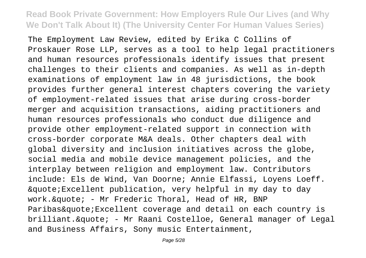The Employment Law Review, edited by Erika C Collins of Proskauer Rose LLP, serves as a tool to help legal practitioners and human resources professionals identify issues that present challenges to their clients and companies. As well as in-depth examinations of employment law in 48 jurisdictions, the book provides further general interest chapters covering the variety of employment-related issues that arise during cross-border merger and acquisition transactions, aiding practitioners and human resources professionals who conduct due diligence and provide other employment-related support in connection with cross-border corporate M&A deals. Other chapters deal with global diversity and inclusion initiatives across the globe, social media and mobile device management policies, and the interplay between religion and employment law. Contributors include: Els de Wind, Van Doorne; Annie Elfassi, Loyens Loeff.  $\&$ quote; Excellent publication, very helpful in my day to day work.  $\&$ quote; - Mr Frederic Thoral, Head of HR, BNP Paribas&quote;Excellent coverage and detail on each country is brilliant. & quote; - Mr Raani Costelloe, General manager of Legal and Business Affairs, Sony music Entertainment,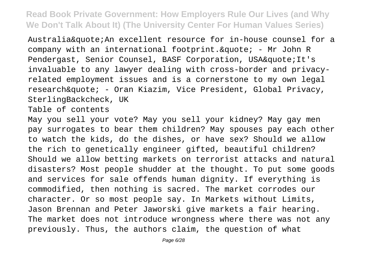Australia&quote;An excellent resource for in-house counsel for a company with an international footprint.  $&$ quote; - Mr John R Pendergast, Senior Counsel, BASF Corporation, USA&quote;It's invaluable to any lawyer dealing with cross-border and privacyrelated employment issues and is a cornerstone to my own legal research&quote; - Oran Kiazim, Vice President, Global Privacy, SterlingBackcheck, UK

Table of contents

May you sell your vote? May you sell your kidney? May gay men pay surrogates to bear them children? May spouses pay each other to watch the kids, do the dishes, or have sex? Should we allow the rich to genetically engineer gifted, beautiful children? Should we allow betting markets on terrorist attacks and natural disasters? Most people shudder at the thought. To put some goods and services for sale offends human dignity. If everything is commodified, then nothing is sacred. The market corrodes our character. Or so most people say. In Markets without Limits, Jason Brennan and Peter Jaworski give markets a fair hearing. The market does not introduce wrongness where there was not any previously. Thus, the authors claim, the question of what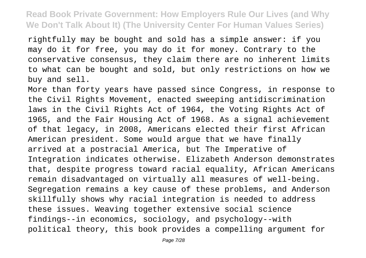rightfully may be bought and sold has a simple answer: if you may do it for free, you may do it for money. Contrary to the conservative consensus, they claim there are no inherent limits to what can be bought and sold, but only restrictions on how we buy and sell.

More than forty years have passed since Congress, in response to the Civil Rights Movement, enacted sweeping antidiscrimination laws in the Civil Rights Act of 1964, the Voting Rights Act of 1965, and the Fair Housing Act of 1968. As a signal achievement of that legacy, in 2008, Americans elected their first African American president. Some would argue that we have finally arrived at a postracial America, but The Imperative of Integration indicates otherwise. Elizabeth Anderson demonstrates that, despite progress toward racial equality, African Americans remain disadvantaged on virtually all measures of well-being. Segregation remains a key cause of these problems, and Anderson skillfully shows why racial integration is needed to address these issues. Weaving together extensive social science findings--in economics, sociology, and psychology--with political theory, this book provides a compelling argument for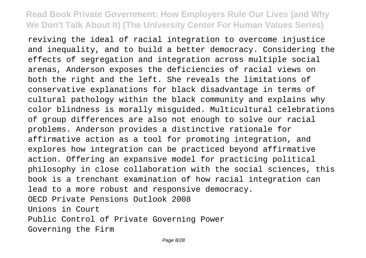reviving the ideal of racial integration to overcome injustice and inequality, and to build a better democracy. Considering the effects of segregation and integration across multiple social arenas, Anderson exposes the deficiencies of racial views on both the right and the left. She reveals the limitations of conservative explanations for black disadvantage in terms of cultural pathology within the black community and explains why color blindness is morally misguided. Multicultural celebrations of group differences are also not enough to solve our racial problems. Anderson provides a distinctive rationale for affirmative action as a tool for promoting integration, and explores how integration can be practiced beyond affirmative action. Offering an expansive model for practicing political philosophy in close collaboration with the social sciences, this book is a trenchant examination of how racial integration can lead to a more robust and responsive democracy. OECD Private Pensions Outlook 2008 Unions in Court Public Control of Private Governing Power Governing the Firm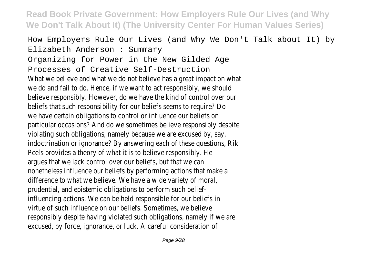How Employers Rule Our Lives (and Why We Don't Talk about It) by Elizabeth Anderson : Summary Organizing for Power in the New Gilded Age Processes of Creative Self-Destruction What we believe and what we do not believe has a great impact on what we do and fail to do. Hence, if we want to act responsibly, we should believe responsibly. However, do we have the kind of control over our beliefs that such responsibility for our beliefs seems to require? Do we have certain obligations to control or influence our beliefs on particular occasions? And do we sometimes believe responsibly despite violating such obligations, namely because we are excused by, say, indoctrination or ignorance? By answering each of these questions, Rik Peels provides a theory of what it is to believe responsibly. He argues that we lack control over our beliefs, but that we can nonetheless influence our beliefs by performing actions that make a difference to what we believe. We have a wide variety of moral, prudential, and epistemic obligations to perform such beliefinfluencing actions. We can be held responsible for our beliefs in virtue of such influence on our beliefs. Sometimes, we believe responsibly despite having violated such obligations, namely if we are excused, by force, ignorance, or luck. A careful consideration of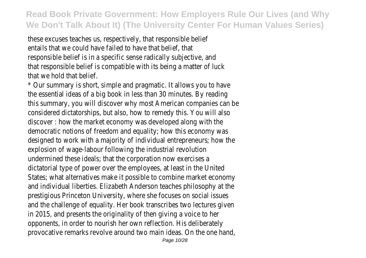these excuses teaches us, respectively, that responsible belief entails that we could have failed to have that belief, that responsible belief is in a specific sense radically subjective, and that responsible belief is compatible with its being a matter of luck that we hold that belief.

\* Our summary is short, simple and pragmatic. It allows you to have the essential ideas of a big book in less than 30 minutes. By reading this summary, you will discover why most American companies can be considered dictatorships, but also, how to remedy this. You will also discover : how the market economy was developed along with the democratic notions of freedom and equality; how this economy was designed to work with a majority of individual entrepreneurs; how the explosion of wage-labour following the industrial revolution undermined these ideals; that the corporation now exercises a dictatorial type of power over the employees, at least in the United States; what alternatives make it possible to combine market economy and individual liberties. Elizabeth Anderson teaches philosophy at the prestigious Princeton University, where she focuses on social issues and the challenge of equality. Her book transcribes two lectures given in 2015, and presents the originality of then giving a voice to her opponents, in order to nourish her own reflection. His deliberately provocative remarks revolve around two main ideas. On the one hand,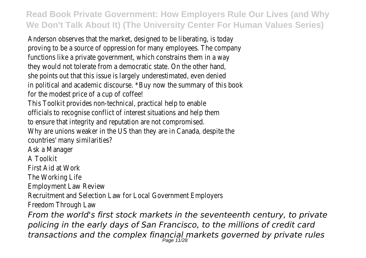Anderson observes that the market, designed to be liberating, is today proving to be a source of oppression for many employees. The company functions like a private government, which constrains them in a way they would not tolerate from a democratic state. On the other hand, she points out that this issue is largely underestimated, even denied in political and academic discourse. \*Buy now the summary of this book for the modest price of a cup of coffee! This Toolkit provides non-technical, practical help to enable officials to recognise conflict of interest situations and help them to ensure that integrity and reputation are not compromised. Why are unions weaker in the US than they are in Canada, despite the countries' many similarities? Ask a Manager A Toolkit First Aid at Work The Working Life Employment Law Review Recruitment and Selection Law for Local Government Employers Freedom Through Law *From the world's first stock markets in the seventeenth century, to private policing in the early days of San Francisco, to the millions of credit card transactions and the complex financial markets governed by private rules* Page 11/28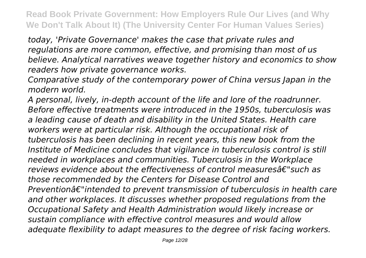*today, 'Private Governance' makes the case that private rules and regulations are more common, effective, and promising than most of us believe. Analytical narratives weave together history and economics to show readers how private governance works.*

*Comparative study of the contemporary power of China versus Japan in the modern world.*

*A personal, lively, in-depth account of the life and lore of the roadrunner. Before effective treatments were introduced in the 1950s, tuberculosis was a leading cause of death and disability in the United States. Health care workers were at particular risk. Although the occupational risk of tuberculosis has been declining in recent years, this new book from the Institute of Medicine concludes that vigilance in tuberculosis control is still needed in workplaces and communities. Tuberculosis in the Workplace reviews evidence about the effectiveness of control measuresâ€"such as those recommended by the Centers for Disease Control and Preventionâ€"intended to prevent transmission of tuberculosis in health care and other workplaces. It discusses whether proposed regulations from the Occupational Safety and Health Administration would likely increase or sustain compliance with effective control measures and would allow adequate flexibility to adapt measures to the degree of risk facing workers.*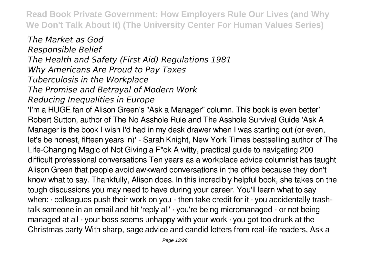*The Market as God Responsible Belief The Health and Safety (First Aid) Regulations 1981 Why Americans Are Proud to Pay Taxes Tuberculosis in the Workplace The Promise and Betrayal of Modern Work Reducing Inequalities in Europe* 'I'm a HUGE fan of Alison Green's "Ask a Manager" column. This book is even better' Robert Sutton, author of The No Asshole Rule and The Asshole Survival Guide 'Ask A Manager is the book I wish I'd had in my desk drawer when I was starting out (or even, let's be honest, fifteen years in)' - Sarah Knight, New York Times bestselling author of The Life-Changing Magic of Not Giving a F\*ck A witty, practical guide to navigating 200 difficult professional conversations Ten years as a workplace advice columnist has taught Alison Green that people avoid awkward conversations in the office because they don't know what to say. Thankfully, Alison does. In this incredibly helpful book, she takes on the tough discussions you may need to have during your career. You'll learn what to say when: · colleagues push their work on you - then take credit for it · you accidentally trashtalk someone in an email and hit 'reply all' · you're being micromanaged - or not being managed at all  $\cdot$  your boss seems unhappy with your work  $\cdot$  you got too drunk at the Christmas party With sharp, sage advice and candid letters from real-life readers, Ask a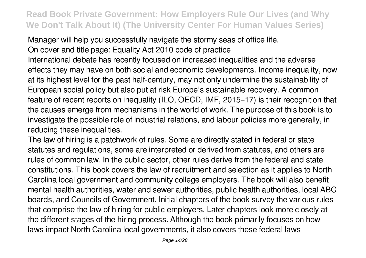Manager will help you successfully navigate the stormy seas of office life. On cover and title page: Equality Act 2010 code of practice International debate has recently focused on increased inequalities and the adverse effects they may have on both social and economic developments. Income inequality, now at its highest level for the past half-century, may not only undermine the sustainability of European social policy but also put at risk Europe's sustainable recovery. A common feature of recent reports on inequality (ILO, OECD, IMF, 2015–17) is their recognition that the causes emerge from mechanisms in the world of work. The purpose of this book is to investigate the possible role of industrial relations, and labour policies more generally, in reducing these inequalities.

The law of hiring is a patchwork of rules. Some are directly stated in federal or state statutes and regulations, some are interpreted or derived from statutes, and others are rules of common law. In the public sector, other rules derive from the federal and state constitutions. This book covers the law of recruitment and selection as it applies to North Carolina local government and community college employers. The book will also benefit mental health authorities, water and sewer authorities, public health authorities, local ABC boards, and Councils of Government. Initial chapters of the book survey the various rules that comprise the law of hiring for public employers. Later chapters look more closely at the different stages of the hiring process. Although the book primarily focuses on how laws impact North Carolina local governments, it also covers these federal laws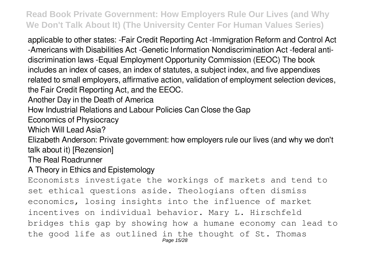applicable to other states: -Fair Credit Reporting Act -Immigration Reform and Control Act -Americans with Disabilities Act -Genetic Information Nondiscrimination Act -federal antidiscrimination laws -Equal Employment Opportunity Commission (EEOC) The book includes an index of cases, an index of statutes, a subject index, and five appendixes related to small employers, affirmative action, validation of employment selection devices, the Fair Credit Reporting Act, and the EEOC.

Another Day in the Death of America

How Industrial Relations and Labour Policies Can Close the Gap

Economics of Physiocracy

Which Will Lead Asia?

Elizabeth Anderson: Private government: how employers rule our lives (and why we don't talk about it) [Rezension]

The Real Roadrunner

#### A Theory in Ethics and Epistemology

Economists investigate the workings of markets and tend to set ethical questions aside. Theologians often dismiss economics, losing insights into the influence of market incentives on individual behavior. Mary L. Hirschfeld bridges this gap by showing how a humane economy can lead to the good life as outlined in the thought of St. Thomas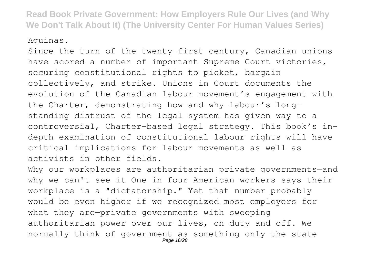Aquinas.

Since the turn of the twenty-first century, Canadian unions have scored a number of important Supreme Court victories, securing constitutional rights to picket, bargain collectively, and strike. Unions in Court documents the evolution of the Canadian labour movement's engagement with the Charter, demonstrating how and why labour's longstanding distrust of the legal system has given way to a controversial, Charter-based legal strategy. This book's indepth examination of constitutional labour rights will have critical implications for labour movements as well as activists in other fields.

Why our workplaces are authoritarian private governments-and why we can't see it One in four American workers says their workplace is a "dictatorship." Yet that number probably would be even higher if we recognized most employers for what they are—private governments with sweeping authoritarian power over our lives, on duty and off. We normally think of government as something only the state Page 16/28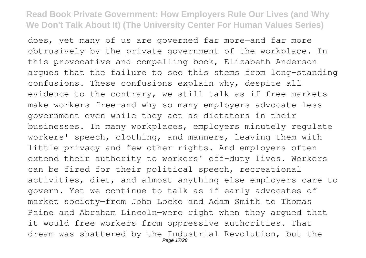does, yet many of us are governed far more—and far more obtrusively—by the private government of the workplace. In this provocative and compelling book, Elizabeth Anderson argues that the failure to see this stems from long-standing confusions. These confusions explain why, despite all evidence to the contrary, we still talk as if free markets make workers free—and why so many employers advocate less government even while they act as dictators in their businesses. In many workplaces, employers minutely regulate workers' speech, clothing, and manners, leaving them with little privacy and few other rights. And employers often extend their authority to workers' off-duty lives. Workers can be fired for their political speech, recreational activities, diet, and almost anything else employers care to govern. Yet we continue to talk as if early advocates of market society—from John Locke and Adam Smith to Thomas Paine and Abraham Lincoln—were right when they argued that it would free workers from oppressive authorities. That dream was shattered by the Industrial Revolution, but the Page 17/28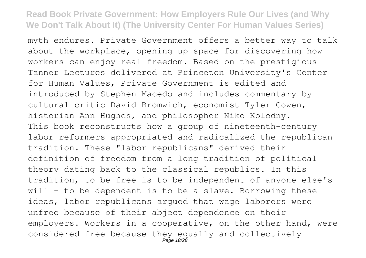myth endures. Private Government offers a better way to talk about the workplace, opening up space for discovering how workers can enjoy real freedom. Based on the prestigious Tanner Lectures delivered at Princeton University's Center for Human Values, Private Government is edited and introduced by Stephen Macedo and includes commentary by cultural critic David Bromwich, economist Tyler Cowen, historian Ann Hughes, and philosopher Niko Kolodny. This book reconstructs how a group of nineteenth-century labor reformers appropriated and radicalized the republican tradition. These "labor republicans" derived their definition of freedom from a long tradition of political theory dating back to the classical republics. In this tradition, to be free is to be independent of anyone else's will  $-$  to be dependent is to be a slave. Borrowing these ideas, labor republicans argued that wage laborers were unfree because of their abject dependence on their employers. Workers in a cooperative, on the other hand, were considered free because they equally and collectively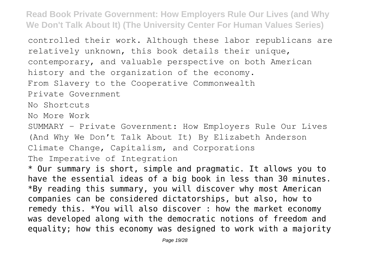controlled their work. Although these labor republicans are relatively unknown, this book details their unique, contemporary, and valuable perspective on both American history and the organization of the economy. From Slavery to the Cooperative Commonwealth Private Government No Shortcuts No More Work SUMMARY - Private Government: How Employers Rule Our Lives (And Why We Don't Talk About It) By Elizabeth Anderson Climate Change, Capitalism, and Corporations The Imperative of Integration \* Our summary is short, simple and pragmatic. It allows you to have the essential ideas of a big book in less than 30 minutes. \*By reading this summary, you will discover why most American companies can be considered dictatorships, but also, how to remedy this. \*You will also discover : how the market economy was developed along with the democratic notions of freedom and equality; how this economy was designed to work with a majority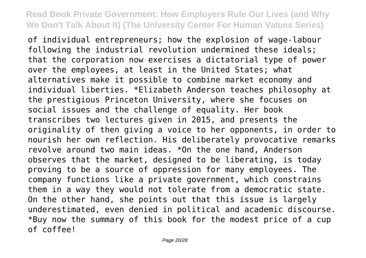of individual entrepreneurs; how the explosion of wage-labour following the industrial revolution undermined these ideals; that the corporation now exercises a dictatorial type of power over the employees, at least in the United States; what alternatives make it possible to combine market economy and individual liberties. \*Elizabeth Anderson teaches philosophy at the prestigious Princeton University, where she focuses on social issues and the challenge of equality. Her book transcribes two lectures given in 2015, and presents the originality of then giving a voice to her opponents, in order to nourish her own reflection. His deliberately provocative remarks revolve around two main ideas. \*On the one hand, Anderson observes that the market, designed to be liberating, is today proving to be a source of oppression for many employees. The company functions like a private government, which constrains them in a way they would not tolerate from a democratic state. On the other hand, she points out that this issue is largely underestimated, even denied in political and academic discourse. \*Buy now the summary of this book for the modest price of a cup of coffee!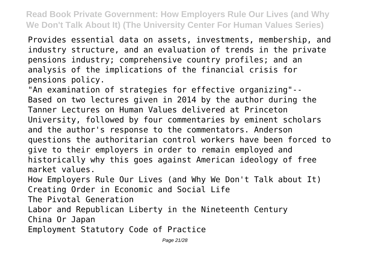Provides essential data on assets, investments, membership, and industry structure, and an evaluation of trends in the private pensions industry; comprehensive country profiles; and an analysis of the implications of the financial crisis for pensions policy.

"An examination of strategies for effective organizing"-- Based on two lectures given in 2014 by the author during the Tanner Lectures on Human Values delivered at Princeton University, followed by four commentaries by eminent scholars and the author's response to the commentators. Anderson questions the authoritarian control workers have been forced to give to their employers in order to remain employed and historically why this goes against American ideology of free market values.

How Employers Rule Our Lives (and Why We Don't Talk about It) Creating Order in Economic and Social Life

The Pivotal Generation

Labor and Republican Liberty in the Nineteenth Century China Or Japan

Employment Statutory Code of Practice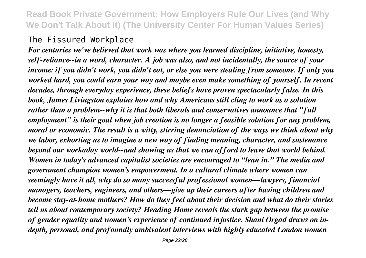# The Fissured Workplace

*For centuries we've believed that work was where you learned discipline, initiative, honesty, self-reliance--in a word, character. A job was also, and not incidentally, the source of your income: if you didn't work, you didn't eat, or else you were stealing from someone. If only you worked hard, you could earn your way and maybe even make something of yourself. In recent decades, through everyday experience, these beliefs have proven spectacularly false. In this book, James Livingston explains how and why Americans still cling to work as a solution rather than a problem--why it is that both liberals and conservatives announce that "full employment" is their goal when job creation is no longer a feasible solution for any problem, moral or economic. The result is a witty, stirring denunciation of the ways we think about why we labor, exhorting us to imagine a new way of finding meaning, character, and sustenance beyond our workaday world--and showing us that we can afford to leave that world behind. Women in today's advanced capitalist societies are encouraged to "lean in." The media and government champion women's empowerment. In a cultural climate where women can seemingly have it all, why do so many successful professional women—lawyers, financial managers, teachers, engineers, and others—give up their careers after having children and become stay-at-home mothers? How do they feel about their decision and what do their stories tell us about contemporary society? Heading Home reveals the stark gap between the promise of gender equality and women's experience of continued injustice. Shani Orgad draws on indepth, personal, and profoundly ambivalent interviews with highly educated London women*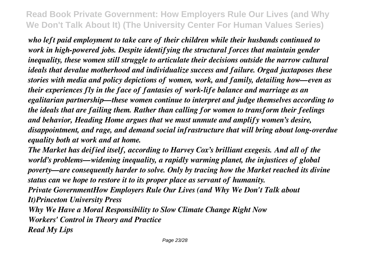*who left paid employment to take care of their children while their husbands continued to work in high-powered jobs. Despite identifying the structural forces that maintain gender inequality, these women still struggle to articulate their decisions outside the narrow cultural ideals that devalue motherhood and individualize success and failure. Orgad juxtaposes these stories with media and policy depictions of women, work, and family, detailing how—even as their experiences fly in the face of fantasies of work-life balance and marriage as an egalitarian partnership—these women continue to interpret and judge themselves according to the ideals that are failing them. Rather than calling for women to transform their feelings and behavior, Heading Home argues that we must unmute and amplify women's desire, disappointment, and rage, and demand social infrastructure that will bring about long-overdue equality both at work and at home.*

*The Market has deified itself, according to Harvey Cox's brilliant exegesis. And all of the world's problems—widening inequality, a rapidly warming planet, the injustices of global poverty—are consequently harder to solve. Only by tracing how the Market reached its divine status can we hope to restore it to its proper place as servant of humanity.*

*Private GovernmentHow Employers Rule Our Lives (and Why We Don't Talk about It)Princeton University Press*

*Why We Have a Moral Responsibility to Slow Climate Change Right Now Workers' Control in Theory and Practice Read My Lips*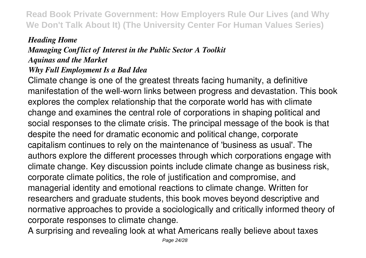# *Heading Home Managing Conflict of Interest in the Public Sector A Toolkit Aquinas and the Market*

#### *Why Full Employment Is a Bad Idea*

Climate change is one of the greatest threats facing humanity, a definitive manifestation of the well-worn links between progress and devastation. This book explores the complex relationship that the corporate world has with climate change and examines the central role of corporations in shaping political and social responses to the climate crisis. The principal message of the book is that despite the need for dramatic economic and political change, corporate capitalism continues to rely on the maintenance of 'business as usual'. The authors explore the different processes through which corporations engage with climate change. Key discussion points include climate change as business risk, corporate climate politics, the role of justification and compromise, and managerial identity and emotional reactions to climate change. Written for researchers and graduate students, this book moves beyond descriptive and normative approaches to provide a sociologically and critically informed theory of corporate responses to climate change.

A surprising and revealing look at what Americans really believe about taxes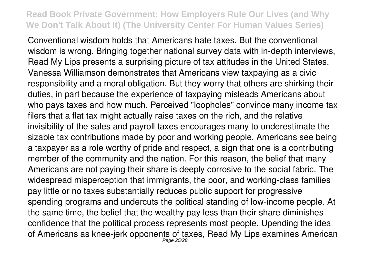Conventional wisdom holds that Americans hate taxes. But the conventional wisdom is wrong. Bringing together national survey data with in-depth interviews, Read My Lips presents a surprising picture of tax attitudes in the United States. Vanessa Williamson demonstrates that Americans view taxpaying as a civic responsibility and a moral obligation. But they worry that others are shirking their duties, in part because the experience of taxpaying misleads Americans about who pays taxes and how much. Perceived "loopholes" convince many income tax filers that a flat tax might actually raise taxes on the rich, and the relative invisibility of the sales and payroll taxes encourages many to underestimate the sizable tax contributions made by poor and working people. Americans see being a taxpayer as a role worthy of pride and respect, a sign that one is a contributing member of the community and the nation. For this reason, the belief that many Americans are not paying their share is deeply corrosive to the social fabric. The widespread misperception that immigrants, the poor, and working-class families pay little or no taxes substantially reduces public support for progressive spending programs and undercuts the political standing of low-income people. At the same time, the belief that the wealthy pay less than their share diminishes confidence that the political process represents most people. Upending the idea of Americans as knee-jerk opponents of taxes, Read My Lips examines American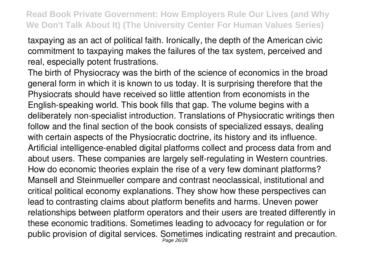taxpaying as an act of political faith. Ironically, the depth of the American civic commitment to taxpaying makes the failures of the tax system, perceived and real, especially potent frustrations.

The birth of Physiocracy was the birth of the science of economics in the broad general form in which it is known to us today. It is surprising therefore that the Physiocrats should have received so little attention from economists in the English-speaking world. This book fills that gap. The volume begins with a deliberately non-specialist introduction. Translations of Physiocratic writings then follow and the final section of the book consists of specialized essays, dealing with certain aspects of the Physiocratic doctrine, its history and its influence. Artificial intelligence-enabled digital platforms collect and process data from and about users. These companies are largely self-regulating in Western countries. How do economic theories explain the rise of a very few dominant platforms? Mansell and Steinmueller compare and contrast neoclassical, institutional and critical political economy explanations. They show how these perspectives can lead to contrasting claims about platform benefits and harms. Uneven power relationships between platform operators and their users are treated differently in these economic traditions. Sometimes leading to advocacy for regulation or for public provision of digital services. Sometimes indicating restraint and precaution. Page 26/28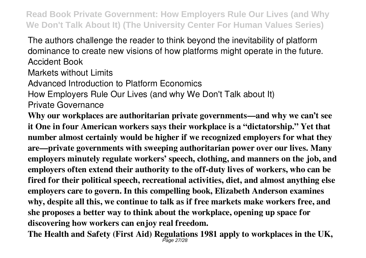The authors challenge the reader to think beyond the inevitability of platform dominance to create new visions of how platforms might operate in the future. Accident Book

Markets without Limits

Advanced Introduction to Platform Economics

How Employers Rule Our Lives (and why We Don't Talk about It)

Private Governance

**Why our workplaces are authoritarian private governments—and why we can't see it One in four American workers says their workplace is a "dictatorship." Yet that number almost certainly would be higher if we recognized employers for what they are—private governments with sweeping authoritarian power over our lives. Many employers minutely regulate workers' speech, clothing, and manners on the job, and employers often extend their authority to the off-duty lives of workers, who can be fired for their political speech, recreational activities, diet, and almost anything else employers care to govern. In this compelling book, Elizabeth Anderson examines why, despite all this, we continue to talk as if free markets make workers free, and she proposes a better way to think about the workplace, opening up space for discovering how workers can enjoy real freedom.**

**The Health and Safety (First Aid) Regulations 1981 apply to workplaces in the UK,** Page 27/28